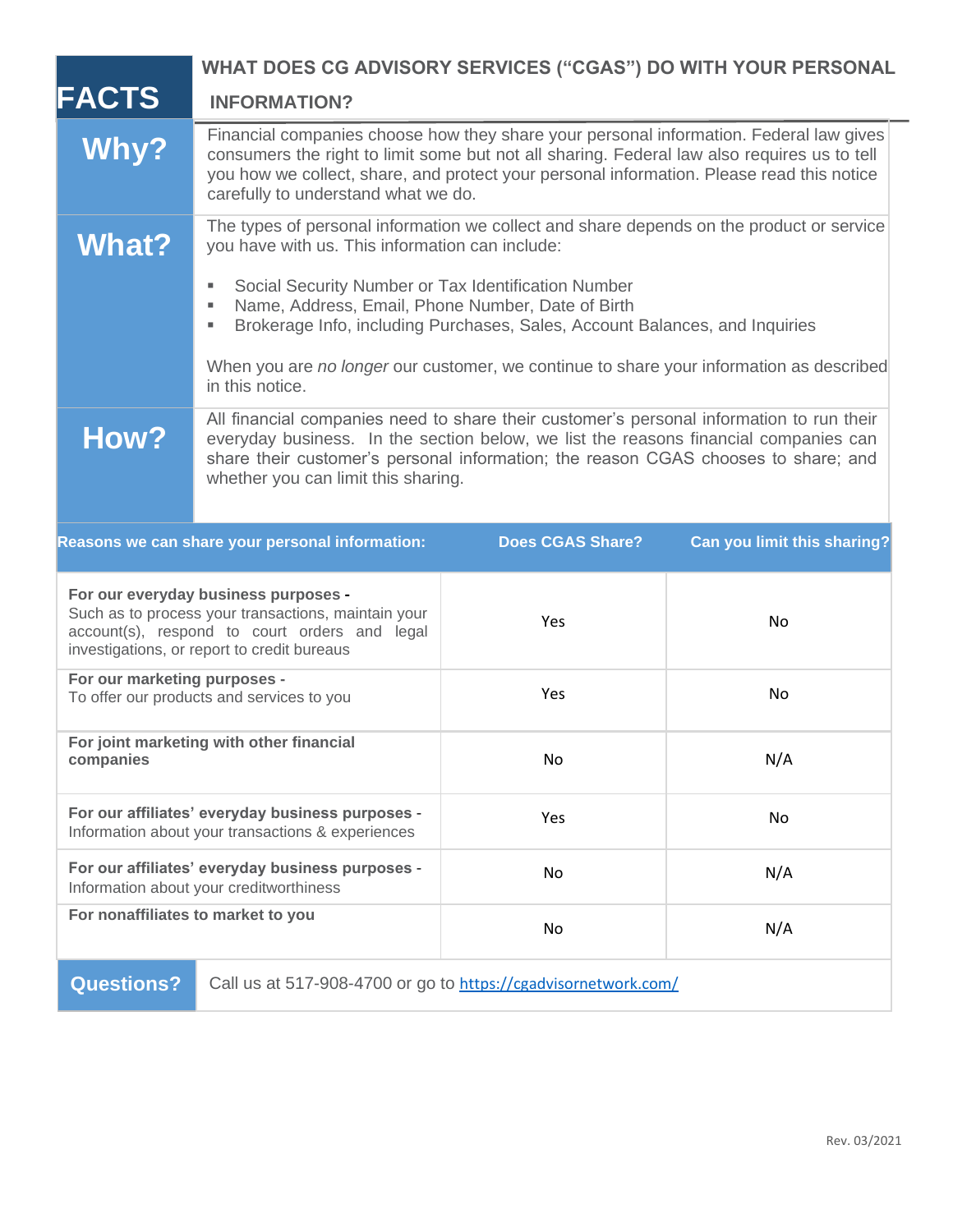|                                                                                                                                                                                             | <b>WHAT DOES CG ADVISORY SERVICES ("CGAS") DO WITH YOUR PERSONAL</b>                                                                                                                                                                                                                                                                   |                         |                                    |
|---------------------------------------------------------------------------------------------------------------------------------------------------------------------------------------------|----------------------------------------------------------------------------------------------------------------------------------------------------------------------------------------------------------------------------------------------------------------------------------------------------------------------------------------|-------------------------|------------------------------------|
| <b>FACTS</b>                                                                                                                                                                                | <b>INFORMATION?</b>                                                                                                                                                                                                                                                                                                                    |                         |                                    |
| Why?                                                                                                                                                                                        | Financial companies choose how they share your personal information. Federal law gives<br>consumers the right to limit some but not all sharing. Federal law also requires us to tell<br>you how we collect, share, and protect your personal information. Please read this notice<br>carefully to understand what we do.              |                         |                                    |
| <b>What?</b>                                                                                                                                                                                | The types of personal information we collect and share depends on the product or service<br>you have with us. This information can include:<br>Social Security Number or Tax Identification Number<br>Name, Address, Email, Phone Number, Date of Birth<br>Brokerage Info, including Purchases, Sales, Account Balances, and Inquiries |                         |                                    |
|                                                                                                                                                                                             | When you are no longer our customer, we continue to share your information as described<br>in this notice.                                                                                                                                                                                                                             |                         |                                    |
| How?                                                                                                                                                                                        | All financial companies need to share their customer's personal information to run their<br>everyday business. In the section below, we list the reasons financial companies can<br>share their customer's personal information; the reason CGAS chooses to share; and<br>whether you can limit this sharing.                          |                         |                                    |
|                                                                                                                                                                                             | Reasons we can share your personal information:                                                                                                                                                                                                                                                                                        | <b>Does CGAS Share?</b> | <b>Can you limit this sharing?</b> |
| For our everyday business purposes -<br>Such as to process your transactions, maintain your<br>account(s), respond to court orders and legal<br>investigations, or report to credit bureaus |                                                                                                                                                                                                                                                                                                                                        | Yes                     | No                                 |
| For our marketing purposes -<br>To offer our products and services to you                                                                                                                   |                                                                                                                                                                                                                                                                                                                                        | Yes                     | No                                 |
| For joint marketing with other financial<br>companies                                                                                                                                       |                                                                                                                                                                                                                                                                                                                                        | No                      | N/A                                |
| For our affiliates' everyday business purposes -<br>Information about your transactions & experiences                                                                                       |                                                                                                                                                                                                                                                                                                                                        | Yes                     | No                                 |
| For our affiliates' everyday business purposes -<br>Information about your creditworthiness                                                                                                 |                                                                                                                                                                                                                                                                                                                                        | No                      | N/A                                |
| For nonaffiliates to market to you                                                                                                                                                          |                                                                                                                                                                                                                                                                                                                                        | No                      | N/A                                |
| <b>Questions?</b><br>Call us at 517-908-4700 or go to https://cgadvisornetwork.com/                                                                                                         |                                                                                                                                                                                                                                                                                                                                        |                         |                                    |